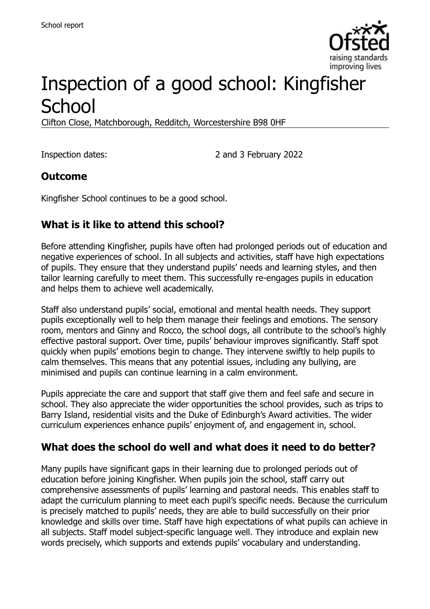

# Inspection of a good school: Kingfisher **School**

Clifton Close, Matchborough, Redditch, Worcestershire B98 0HF

Inspection dates: 2 and 3 February 2022

#### **Outcome**

Kingfisher School continues to be a good school.

# **What is it like to attend this school?**

Before attending Kingfisher, pupils have often had prolonged periods out of education and negative experiences of school. In all subjects and activities, staff have high expectations of pupils. They ensure that they understand pupils' needs and learning styles, and then tailor learning carefully to meet them. This successfully re-engages pupils in education and helps them to achieve well academically.

Staff also understand pupils' social, emotional and mental health needs. They support pupils exceptionally well to help them manage their feelings and emotions. The sensory room, mentors and Ginny and Rocco, the school dogs, all contribute to the school's highly effective pastoral support. Over time, pupils' behaviour improves significantly. Staff spot quickly when pupils' emotions begin to change. They intervene swiftly to help pupils to calm themselves. This means that any potential issues, including any bullying, are minimised and pupils can continue learning in a calm environment.

Pupils appreciate the care and support that staff give them and feel safe and secure in school. They also appreciate the wider opportunities the school provides, such as trips to Barry Island, residential visits and the Duke of Edinburgh's Award activities. The wider curriculum experiences enhance pupils' enjoyment of, and engagement in, school.

#### **What does the school do well and what does it need to do better?**

Many pupils have significant gaps in their learning due to prolonged periods out of education before joining Kingfisher. When pupils join the school, staff carry out comprehensive assessments of pupils' learning and pastoral needs. This enables staff to adapt the curriculum planning to meet each pupil's specific needs. Because the curriculum is precisely matched to pupils' needs, they are able to build successfully on their prior knowledge and skills over time. Staff have high expectations of what pupils can achieve in all subjects. Staff model subject-specific language well. They introduce and explain new words precisely, which supports and extends pupils' vocabulary and understanding.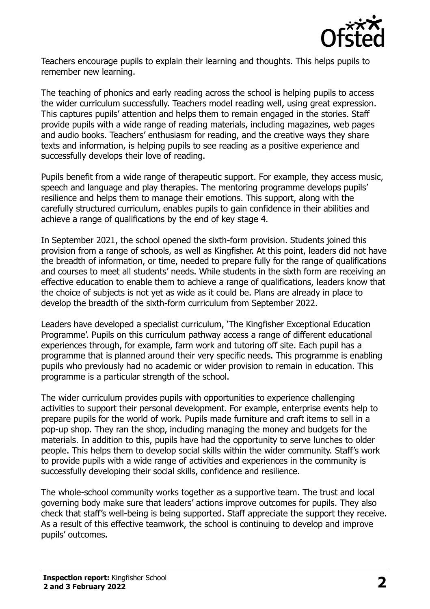

Teachers encourage pupils to explain their learning and thoughts. This helps pupils to remember new learning.

The teaching of phonics and early reading across the school is helping pupils to access the wider curriculum successfully. Teachers model reading well, using great expression. This captures pupils' attention and helps them to remain engaged in the stories. Staff provide pupils with a wide range of reading materials, including magazines, web pages and audio books. Teachers' enthusiasm for reading, and the creative ways they share texts and information, is helping pupils to see reading as a positive experience and successfully develops their love of reading.

Pupils benefit from a wide range of therapeutic support. For example, they access music, speech and language and play therapies. The mentoring programme develops pupils' resilience and helps them to manage their emotions. This support, along with the carefully structured curriculum, enables pupils to gain confidence in their abilities and achieve a range of qualifications by the end of key stage 4.

In September 2021, the school opened the sixth-form provision. Students joined this provision from a range of schools, as well as Kingfisher. At this point, leaders did not have the breadth of information, or time, needed to prepare fully for the range of qualifications and courses to meet all students' needs. While students in the sixth form are receiving an effective education to enable them to achieve a range of qualifications, leaders know that the choice of subjects is not yet as wide as it could be. Plans are already in place to develop the breadth of the sixth-form curriculum from September 2022.

Leaders have developed a specialist curriculum, 'The Kingfisher Exceptional Education Programme'. Pupils on this curriculum pathway access a range of different educational experiences through, for example, farm work and tutoring off site. Each pupil has a programme that is planned around their very specific needs. This programme is enabling pupils who previously had no academic or wider provision to remain in education. This programme is a particular strength of the school.

The wider curriculum provides pupils with opportunities to experience challenging activities to support their personal development. For example, enterprise events help to prepare pupils for the world of work. Pupils made furniture and craft items to sell in a pop-up shop. They ran the shop, including managing the money and budgets for the materials. In addition to this, pupils have had the opportunity to serve lunches to older people. This helps them to develop social skills within the wider community. Staff's work to provide pupils with a wide range of activities and experiences in the community is successfully developing their social skills, confidence and resilience.

The whole-school community works together as a supportive team. The trust and local governing body make sure that leaders' actions improve outcomes for pupils. They also check that staff's well-being is being supported. Staff appreciate the support they receive. As a result of this effective teamwork, the school is continuing to develop and improve pupils' outcomes.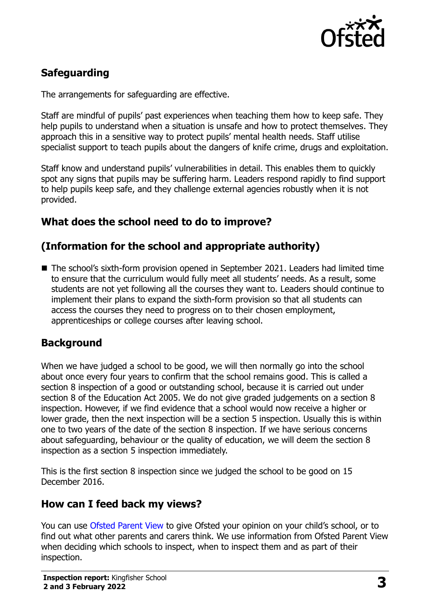

# **Safeguarding**

The arrangements for safeguarding are effective.

Staff are mindful of pupils' past experiences when teaching them how to keep safe. They help pupils to understand when a situation is unsafe and how to protect themselves. They approach this in a sensitive way to protect pupils' mental health needs. Staff utilise specialist support to teach pupils about the dangers of knife crime, drugs and exploitation.

Staff know and understand pupils' vulnerabilities in detail. This enables them to quickly spot any signs that pupils may be suffering harm. Leaders respond rapidly to find support to help pupils keep safe, and they challenge external agencies robustly when it is not provided.

### **What does the school need to do to improve?**

### **(Information for the school and appropriate authority)**

■ The school's sixth-form provision opened in September 2021. Leaders had limited time to ensure that the curriculum would fully meet all students' needs. As a result, some students are not yet following all the courses they want to. Leaders should continue to implement their plans to expand the sixth-form provision so that all students can access the courses they need to progress on to their chosen employment, apprenticeships or college courses after leaving school.

#### **Background**

When we have judged a school to be good, we will then normally go into the school about once every four years to confirm that the school remains good. This is called a section 8 inspection of a good or outstanding school, because it is carried out under section 8 of the Education Act 2005. We do not give graded judgements on a section 8 inspection. However, if we find evidence that a school would now receive a higher or lower grade, then the next inspection will be a section 5 inspection. Usually this is within one to two years of the date of the section 8 inspection. If we have serious concerns about safeguarding, behaviour or the quality of education, we will deem the section 8 inspection as a section 5 inspection immediately.

This is the first section 8 inspection since we judged the school to be good on 15 December 2016.

#### **How can I feed back my views?**

You can use [Ofsted Parent View](https://parentview.ofsted.gov.uk/) to give Ofsted your opinion on your child's school, or to find out what other parents and carers think. We use information from Ofsted Parent View when deciding which schools to inspect, when to inspect them and as part of their inspection.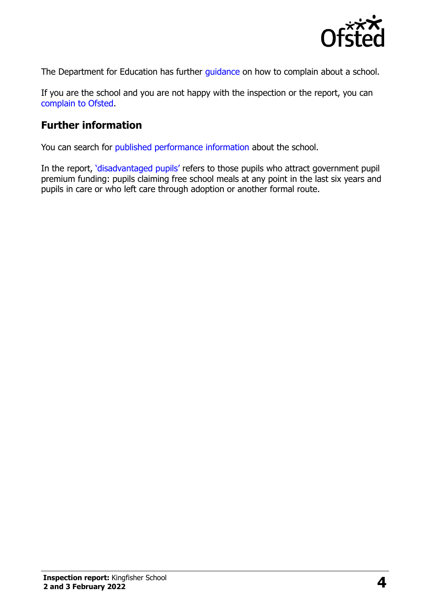

The Department for Education has further quidance on how to complain about a school.

If you are the school and you are not happy with the inspection or the report, you can [complain to Ofsted.](https://www.gov.uk/complain-ofsted-report)

# **Further information**

You can search for [published performance information](http://www.compare-school-performance.service.gov.uk/) about the school.

In the report, '[disadvantaged pupils](http://www.gov.uk/guidance/pupil-premium-information-for-schools-and-alternative-provision-settings)' refers to those pupils who attract government pupil premium funding: pupils claiming free school meals at any point in the last six years and pupils in care or who left care through adoption or another formal route.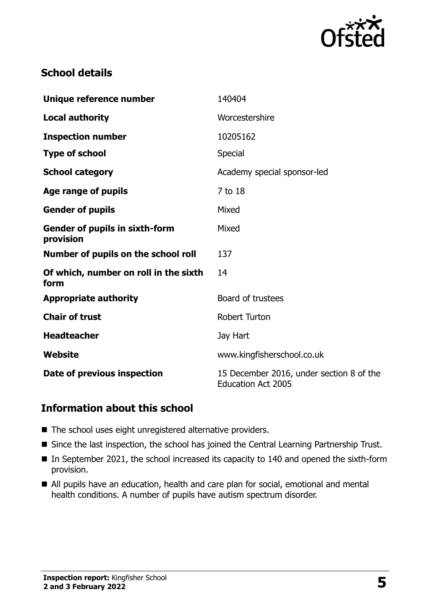

# **School details**

| Unique reference number                            | 140404                                                                |
|----------------------------------------------------|-----------------------------------------------------------------------|
| <b>Local authority</b>                             | Worcestershire                                                        |
| <b>Inspection number</b>                           | 10205162                                                              |
| <b>Type of school</b>                              | Special                                                               |
| <b>School category</b>                             | Academy special sponsor-led                                           |
| Age range of pupils                                | 7 to 18                                                               |
| <b>Gender of pupils</b>                            | Mixed                                                                 |
| <b>Gender of pupils in sixth-form</b><br>provision | Mixed                                                                 |
| Number of pupils on the school roll                | 137                                                                   |
| Of which, number on roll in the sixth<br>form      | 14                                                                    |
| <b>Appropriate authority</b>                       | Board of trustees                                                     |
| <b>Chair of trust</b>                              | <b>Robert Turton</b>                                                  |
| <b>Headteacher</b>                                 | Jay Hart                                                              |
| Website                                            | www.kingfisherschool.co.uk                                            |
| Date of previous inspection                        | 15 December 2016, under section 8 of the<br><b>Education Act 2005</b> |

#### **Information about this school**

- The school uses eight unregistered alternative providers.
- Since the last inspection, the school has joined the Central Learning Partnership Trust.
- In September 2021, the school increased its capacity to 140 and opened the sixth-form provision.
- All pupils have an education, health and care plan for social, emotional and mental health conditions. A number of pupils have autism spectrum disorder.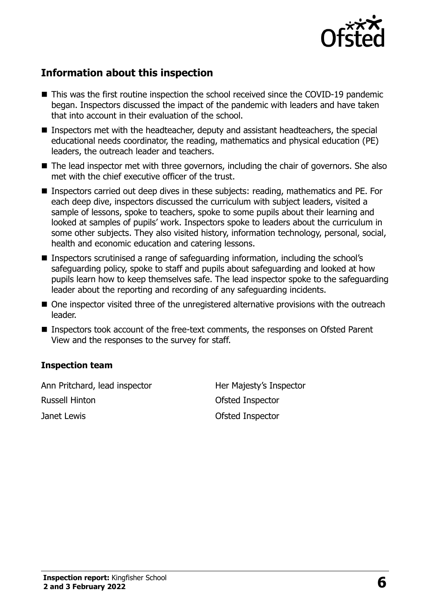

# **Information about this inspection**

- This was the first routine inspection the school received since the COVID-19 pandemic began. Inspectors discussed the impact of the pandemic with leaders and have taken that into account in their evaluation of the school.
- **Inspectors met with the headteacher, deputy and assistant headteachers, the special** educational needs coordinator, the reading, mathematics and physical education (PE) leaders, the outreach leader and teachers.
- The lead inspector met with three governors, including the chair of governors. She also met with the chief executive officer of the trust.
- Inspectors carried out deep dives in these subjects: reading, mathematics and PE. For each deep dive, inspectors discussed the curriculum with subject leaders, visited a sample of lessons, spoke to teachers, spoke to some pupils about their learning and looked at samples of pupils' work. Inspectors spoke to leaders about the curriculum in some other subjects. They also visited history, information technology, personal, social, health and economic education and catering lessons.
- Inspectors scrutinised a range of safeguarding information, including the school's safeguarding policy, spoke to staff and pupils about safeguarding and looked at how pupils learn how to keep themselves safe. The lead inspector spoke to the safeguarding leader about the reporting and recording of any safeguarding incidents.
- One inspector visited three of the unregistered alternative provisions with the outreach leader.
- Inspectors took account of the free-text comments, the responses on Ofsted Parent View and the responses to the survey for staff.

#### **Inspection team**

Ann Pritchard, lead inspector Her Majesty's Inspector Russell Hinton Ofsted Inspector Janet Lewis Ofsted Inspector